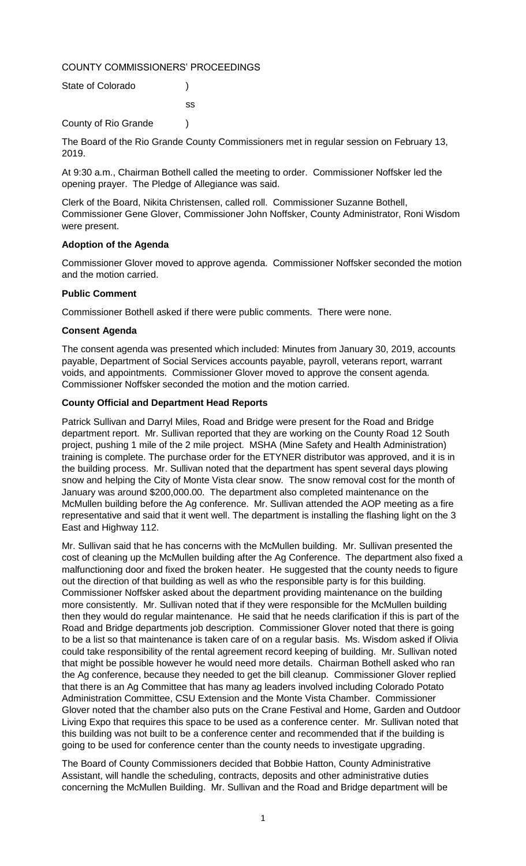COUNTY COMMISSIONERS' PROCEEDINGS

| State of Colorado    |     |
|----------------------|-----|
|                      | SS. |
| County of Rio Grande |     |

The Board of the Rio Grande County Commissioners met in regular session on February 13, 2019.

At 9:30 a.m., Chairman Bothell called the meeting to order. Commissioner Noffsker led the opening prayer. The Pledge of Allegiance was said.

Clerk of the Board, Nikita Christensen, called roll. Commissioner Suzanne Bothell, Commissioner Gene Glover, Commissioner John Noffsker, County Administrator, Roni Wisdom were present.

# **Adoption of the Agenda**

Commissioner Glover moved to approve agenda. Commissioner Noffsker seconded the motion and the motion carried.

# **Public Comment**

Commissioner Bothell asked if there were public comments. There were none.

# **Consent Agenda**

The consent agenda was presented which included: Minutes from January 30, 2019, accounts payable, Department of Social Services accounts payable, payroll, veterans report, warrant voids, and appointments. Commissioner Glover moved to approve the consent agenda. Commissioner Noffsker seconded the motion and the motion carried.

# **County Official and Department Head Reports**

Patrick Sullivan and Darryl Miles, Road and Bridge were present for the Road and Bridge department report. Mr. Sullivan reported that they are working on the County Road 12 South project, pushing 1 mile of the 2 mile project. MSHA (Mine Safety and Health Administration) training is complete. The purchase order for the ETYNER distributor was approved, and it is in the building process. Mr. Sullivan noted that the department has spent several days plowing snow and helping the City of Monte Vista clear snow. The snow removal cost for the month of January was around \$200,000.00. The department also completed maintenance on the McMullen building before the Ag conference. Mr. Sullivan attended the AOP meeting as a fire representative and said that it went well. The department is installing the flashing light on the 3 East and Highway 112.

Mr. Sullivan said that he has concerns with the McMullen building. Mr. Sullivan presented the cost of cleaning up the McMullen building after the Ag Conference. The department also fixed a malfunctioning door and fixed the broken heater. He suggested that the county needs to figure out the direction of that building as well as who the responsible party is for this building. Commissioner Noffsker asked about the department providing maintenance on the building more consistently. Mr. Sullivan noted that if they were responsible for the McMullen building then they would do regular maintenance. He said that he needs clarification if this is part of the Road and Bridge departments job description. Commissioner Glover noted that there is going to be a list so that maintenance is taken care of on a regular basis. Ms. Wisdom asked if Olivia could take responsibility of the rental agreement record keeping of building. Mr. Sullivan noted that might be possible however he would need more details. Chairman Bothell asked who ran the Ag conference, because they needed to get the bill cleanup. Commissioner Glover replied that there is an Ag Committee that has many ag leaders involved including Colorado Potato Administration Committee, CSU Extension and the Monte Vista Chamber. Commissioner Glover noted that the chamber also puts on the Crane Festival and Home, Garden and Outdoor Living Expo that requires this space to be used as a conference center. Mr. Sullivan noted that this building was not built to be a conference center and recommended that if the building is going to be used for conference center than the county needs to investigate upgrading.

The Board of County Commissioners decided that Bobbie Hatton, County Administrative Assistant, will handle the scheduling, contracts, deposits and other administrative duties concerning the McMullen Building. Mr. Sullivan and the Road and Bridge department will be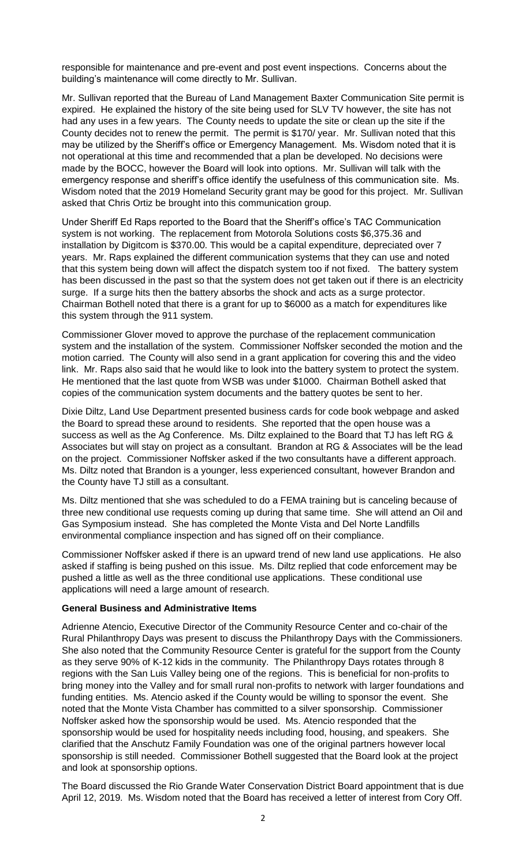responsible for maintenance and pre-event and post event inspections. Concerns about the building's maintenance will come directly to Mr. Sullivan.

Mr. Sullivan reported that the Bureau of Land Management Baxter Communication Site permit is expired. He explained the history of the site being used for SLV TV however, the site has not had any uses in a few years. The County needs to update the site or clean up the site if the County decides not to renew the permit. The permit is \$170/ year. Mr. Sullivan noted that this may be utilized by the Sheriff's office or Emergency Management. Ms. Wisdom noted that it is not operational at this time and recommended that a plan be developed. No decisions were made by the BOCC, however the Board will look into options. Mr. Sullivan will talk with the emergency response and sheriff's office identify the usefulness of this communication site. Ms. Wisdom noted that the 2019 Homeland Security grant may be good for this project. Mr. Sullivan asked that Chris Ortiz be brought into this communication group.

Under Sheriff Ed Raps reported to the Board that the Sheriff's office's TAC Communication system is not working. The replacement from Motorola Solutions costs \$6,375.36 and installation by Digitcom is \$370.00. This would be a capital expenditure, depreciated over 7 years. Mr. Raps explained the different communication systems that they can use and noted that this system being down will affect the dispatch system too if not fixed. The battery system has been discussed in the past so that the system does not get taken out if there is an electricity surge. If a surge hits then the battery absorbs the shock and acts as a surge protector. Chairman Bothell noted that there is a grant for up to \$6000 as a match for expenditures like this system through the 911 system.

Commissioner Glover moved to approve the purchase of the replacement communication system and the installation of the system. Commissioner Noffsker seconded the motion and the motion carried. The County will also send in a grant application for covering this and the video link. Mr. Raps also said that he would like to look into the battery system to protect the system. He mentioned that the last quote from WSB was under \$1000. Chairman Bothell asked that copies of the communication system documents and the battery quotes be sent to her.

Dixie Diltz, Land Use Department presented business cards for code book webpage and asked the Board to spread these around to residents. She reported that the open house was a success as well as the Ag Conference. Ms. Diltz explained to the Board that TJ has left RG & Associates but will stay on project as a consultant. Brandon at RG & Associates will be the lead on the project. Commissioner Noffsker asked if the two consultants have a different approach. Ms. Diltz noted that Brandon is a younger, less experienced consultant, however Brandon and the County have TJ still as a consultant.

Ms. Diltz mentioned that she was scheduled to do a FEMA training but is canceling because of three new conditional use requests coming up during that same time. She will attend an Oil and Gas Symposium instead. She has completed the Monte Vista and Del Norte Landfills environmental compliance inspection and has signed off on their compliance.

Commissioner Noffsker asked if there is an upward trend of new land use applications. He also asked if staffing is being pushed on this issue. Ms. Diltz replied that code enforcement may be pushed a little as well as the three conditional use applications. These conditional use applications will need a large amount of research.

#### **General Business and Administrative Items**

Adrienne Atencio, Executive Director of the Community Resource Center and co-chair of the Rural Philanthropy Days was present to discuss the Philanthropy Days with the Commissioners. She also noted that the Community Resource Center is grateful for the support from the County as they serve 90% of K-12 kids in the community. The Philanthropy Days rotates through 8 regions with the San Luis Valley being one of the regions. This is beneficial for non-profits to bring money into the Valley and for small rural non-profits to network with larger foundations and funding entities. Ms. Atencio asked if the County would be willing to sponsor the event. She noted that the Monte Vista Chamber has committed to a silver sponsorship. Commissioner Noffsker asked how the sponsorship would be used. Ms. Atencio responded that the sponsorship would be used for hospitality needs including food, housing, and speakers. She clarified that the Anschutz Family Foundation was one of the original partners however local sponsorship is still needed. Commissioner Bothell suggested that the Board look at the project and look at sponsorship options.

The Board discussed the Rio Grande Water Conservation District Board appointment that is due April 12, 2019. Ms. Wisdom noted that the Board has received a letter of interest from Cory Off.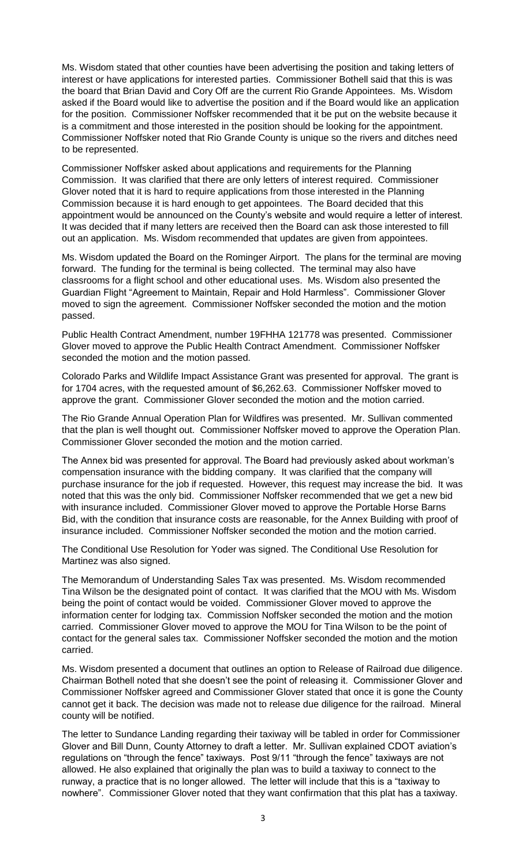Ms. Wisdom stated that other counties have been advertising the position and taking letters of interest or have applications for interested parties. Commissioner Bothell said that this is was the board that Brian David and Cory Off are the current Rio Grande Appointees. Ms. Wisdom asked if the Board would like to advertise the position and if the Board would like an application for the position. Commissioner Noffsker recommended that it be put on the website because it is a commitment and those interested in the position should be looking for the appointment. Commissioner Noffsker noted that Rio Grande County is unique so the rivers and ditches need to be represented.

Commissioner Noffsker asked about applications and requirements for the Planning Commission. It was clarified that there are only letters of interest required. Commissioner Glover noted that it is hard to require applications from those interested in the Planning Commission because it is hard enough to get appointees. The Board decided that this appointment would be announced on the County's website and would require a letter of interest. It was decided that if many letters are received then the Board can ask those interested to fill out an application. Ms. Wisdom recommended that updates are given from appointees.

Ms. Wisdom updated the Board on the Rominger Airport. The plans for the terminal are moving forward. The funding for the terminal is being collected. The terminal may also have classrooms for a flight school and other educational uses. Ms. Wisdom also presented the Guardian Flight "Agreement to Maintain, Repair and Hold Harmless". Commissioner Glover moved to sign the agreement. Commissioner Noffsker seconded the motion and the motion passed.

Public Health Contract Amendment, number 19FHHA 121778 was presented. Commissioner Glover moved to approve the Public Health Contract Amendment. Commissioner Noffsker seconded the motion and the motion passed.

Colorado Parks and Wildlife Impact Assistance Grant was presented for approval. The grant is for 1704 acres, with the requested amount of \$6,262.63. Commissioner Noffsker moved to approve the grant. Commissioner Glover seconded the motion and the motion carried.

The Rio Grande Annual Operation Plan for Wildfires was presented. Mr. Sullivan commented that the plan is well thought out. Commissioner Noffsker moved to approve the Operation Plan. Commissioner Glover seconded the motion and the motion carried.

The Annex bid was presented for approval. The Board had previously asked about workman's compensation insurance with the bidding company. It was clarified that the company will purchase insurance for the job if requested. However, this request may increase the bid. It was noted that this was the only bid. Commissioner Noffsker recommended that we get a new bid with insurance included. Commissioner Glover moved to approve the Portable Horse Barns Bid, with the condition that insurance costs are reasonable, for the Annex Building with proof of insurance included. Commissioner Noffsker seconded the motion and the motion carried.

The Conditional Use Resolution for Yoder was signed. The Conditional Use Resolution for Martinez was also signed.

The Memorandum of Understanding Sales Tax was presented. Ms. Wisdom recommended Tina Wilson be the designated point of contact. It was clarified that the MOU with Ms. Wisdom being the point of contact would be voided. Commissioner Glover moved to approve the information center for lodging tax. Commission Noffsker seconded the motion and the motion carried. Commissioner Glover moved to approve the MOU for Tina Wilson to be the point of contact for the general sales tax. Commissioner Noffsker seconded the motion and the motion carried.

Ms. Wisdom presented a document that outlines an option to Release of Railroad due diligence. Chairman Bothell noted that she doesn't see the point of releasing it. Commissioner Glover and Commissioner Noffsker agreed and Commissioner Glover stated that once it is gone the County cannot get it back. The decision was made not to release due diligence for the railroad. Mineral county will be notified.

The letter to Sundance Landing regarding their taxiway will be tabled in order for Commissioner Glover and Bill Dunn, County Attorney to draft a letter. Mr. Sullivan explained CDOT aviation's regulations on "through the fence" taxiways. Post 9/11 "through the fence" taxiways are not allowed. He also explained that originally the plan was to build a taxiway to connect to the runway, a practice that is no longer allowed. The letter will include that this is a "taxiway to nowhere". Commissioner Glover noted that they want confirmation that this plat has a taxiway.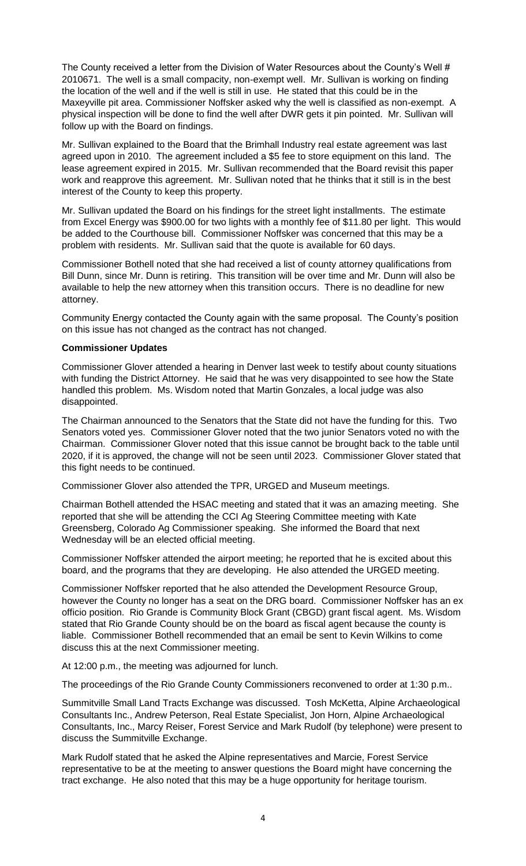The County received a letter from the Division of Water Resources about the County's Well # 2010671. The well is a small compacity, non-exempt well. Mr. Sullivan is working on finding the location of the well and if the well is still in use. He stated that this could be in the Maxeyville pit area. Commissioner Noffsker asked why the well is classified as non-exempt. A physical inspection will be done to find the well after DWR gets it pin pointed. Mr. Sullivan will follow up with the Board on findings.

Mr. Sullivan explained to the Board that the Brimhall Industry real estate agreement was last agreed upon in 2010. The agreement included a \$5 fee to store equipment on this land. The lease agreement expired in 2015. Mr. Sullivan recommended that the Board revisit this paper work and reapprove this agreement. Mr. Sullivan noted that he thinks that it still is in the best interest of the County to keep this property.

Mr. Sullivan updated the Board on his findings for the street light installments. The estimate from Excel Energy was \$900.00 for two lights with a monthly fee of \$11.80 per light. This would be added to the Courthouse bill. Commissioner Noffsker was concerned that this may be a problem with residents. Mr. Sullivan said that the quote is available for 60 days.

Commissioner Bothell noted that she had received a list of county attorney qualifications from Bill Dunn, since Mr. Dunn is retiring. This transition will be over time and Mr. Dunn will also be available to help the new attorney when this transition occurs. There is no deadline for new attorney.

Community Energy contacted the County again with the same proposal. The County's position on this issue has not changed as the contract has not changed.

#### **Commissioner Updates**

Commissioner Glover attended a hearing in Denver last week to testify about county situations with funding the District Attorney. He said that he was very disappointed to see how the State handled this problem. Ms. Wisdom noted that Martin Gonzales, a local judge was also disappointed.

The Chairman announced to the Senators that the State did not have the funding for this. Two Senators voted yes. Commissioner Glover noted that the two junior Senators voted no with the Chairman. Commissioner Glover noted that this issue cannot be brought back to the table until 2020, if it is approved, the change will not be seen until 2023. Commissioner Glover stated that this fight needs to be continued.

Commissioner Glover also attended the TPR, URGED and Museum meetings.

Chairman Bothell attended the HSAC meeting and stated that it was an amazing meeting. She reported that she will be attending the CCI Ag Steering Committee meeting with Kate Greensberg, Colorado Ag Commissioner speaking. She informed the Board that next Wednesday will be an elected official meeting.

Commissioner Noffsker attended the airport meeting; he reported that he is excited about this board, and the programs that they are developing. He also attended the URGED meeting.

Commissioner Noffsker reported that he also attended the Development Resource Group, however the County no longer has a seat on the DRG board. Commissioner Noffsker has an ex officio position. Rio Grande is Community Block Grant (CBGD) grant fiscal agent. Ms. Wisdom stated that Rio Grande County should be on the board as fiscal agent because the county is liable. Commissioner Bothell recommended that an email be sent to Kevin Wilkins to come discuss this at the next Commissioner meeting.

At 12:00 p.m., the meeting was adjourned for lunch.

The proceedings of the Rio Grande County Commissioners reconvened to order at 1:30 p.m..

Summitville Small Land Tracts Exchange was discussed. Tosh McKetta, Alpine Archaeological Consultants Inc., Andrew Peterson, Real Estate Specialist, Jon Horn, Alpine Archaeological Consultants, Inc., Marcy Reiser, Forest Service and Mark Rudolf (by telephone) were present to discuss the Summitville Exchange.

Mark Rudolf stated that he asked the Alpine representatives and Marcie, Forest Service representative to be at the meeting to answer questions the Board might have concerning the tract exchange. He also noted that this may be a huge opportunity for heritage tourism.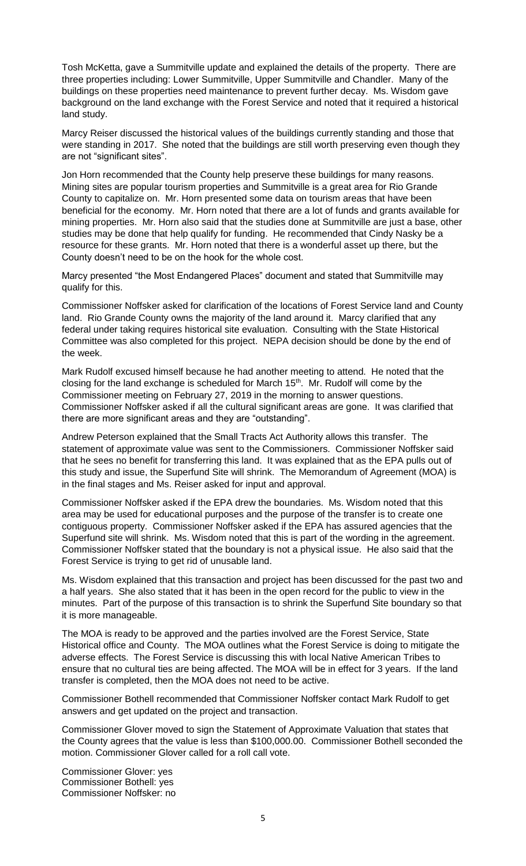Tosh McKetta, gave a Summitville update and explained the details of the property. There are three properties including: Lower Summitville, Upper Summitville and Chandler. Many of the buildings on these properties need maintenance to prevent further decay. Ms. Wisdom gave background on the land exchange with the Forest Service and noted that it required a historical land study.

Marcy Reiser discussed the historical values of the buildings currently standing and those that were standing in 2017. She noted that the buildings are still worth preserving even though they are not "significant sites".

Jon Horn recommended that the County help preserve these buildings for many reasons. Mining sites are popular tourism properties and Summitville is a great area for Rio Grande County to capitalize on. Mr. Horn presented some data on tourism areas that have been beneficial for the economy. Mr. Horn noted that there are a lot of funds and grants available for mining properties. Mr. Horn also said that the studies done at Summitville are just a base, other studies may be done that help qualify for funding. He recommended that Cindy Nasky be a resource for these grants. Mr. Horn noted that there is a wonderful asset up there, but the County doesn't need to be on the hook for the whole cost.

Marcy presented "the Most Endangered Places" document and stated that Summitville may qualify for this.

Commissioner Noffsker asked for clarification of the locations of Forest Service land and County land. Rio Grande County owns the majority of the land around it. Marcy clarified that any federal under taking requires historical site evaluation. Consulting with the State Historical Committee was also completed for this project. NEPA decision should be done by the end of the week.

Mark Rudolf excused himself because he had another meeting to attend. He noted that the closing for the land exchange is scheduled for March 15<sup>th</sup>. Mr. Rudolf will come by the Commissioner meeting on February 27, 2019 in the morning to answer questions. Commissioner Noffsker asked if all the cultural significant areas are gone. It was clarified that there are more significant areas and they are "outstanding".

Andrew Peterson explained that the Small Tracts Act Authority allows this transfer. The statement of approximate value was sent to the Commissioners. Commissioner Noffsker said that he sees no benefit for transferring this land. It was explained that as the EPA pulls out of this study and issue, the Superfund Site will shrink. The Memorandum of Agreement (MOA) is in the final stages and Ms. Reiser asked for input and approval.

Commissioner Noffsker asked if the EPA drew the boundaries. Ms. Wisdom noted that this area may be used for educational purposes and the purpose of the transfer is to create one contiguous property. Commissioner Noffsker asked if the EPA has assured agencies that the Superfund site will shrink. Ms. Wisdom noted that this is part of the wording in the agreement. Commissioner Noffsker stated that the boundary is not a physical issue. He also said that the Forest Service is trying to get rid of unusable land.

Ms. Wisdom explained that this transaction and project has been discussed for the past two and a half years. She also stated that it has been in the open record for the public to view in the minutes. Part of the purpose of this transaction is to shrink the Superfund Site boundary so that it is more manageable.

The MOA is ready to be approved and the parties involved are the Forest Service, State Historical office and County. The MOA outlines what the Forest Service is doing to mitigate the adverse effects. The Forest Service is discussing this with local Native American Tribes to ensure that no cultural ties are being affected. The MOA will be in effect for 3 years. If the land transfer is completed, then the MOA does not need to be active.

Commissioner Bothell recommended that Commissioner Noffsker contact Mark Rudolf to get answers and get updated on the project and transaction.

Commissioner Glover moved to sign the Statement of Approximate Valuation that states that the County agrees that the value is less than \$100,000.00. Commissioner Bothell seconded the motion. Commissioner Glover called for a roll call vote.

Commissioner Glover: yes Commissioner Bothell: yes Commissioner Noffsker: no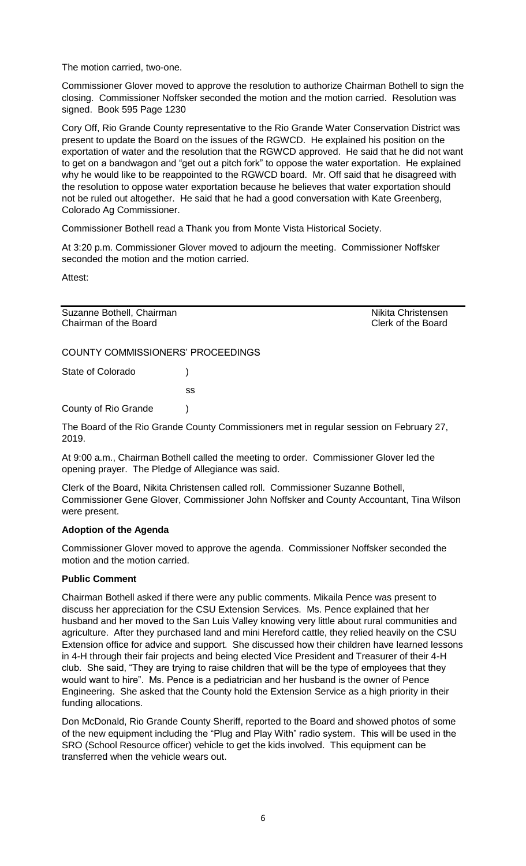The motion carried, two-one.

Commissioner Glover moved to approve the resolution to authorize Chairman Bothell to sign the closing. Commissioner Noffsker seconded the motion and the motion carried. Resolution was signed. Book 595 Page 1230

Cory Off, Rio Grande County representative to the Rio Grande Water Conservation District was present to update the Board on the issues of the RGWCD. He explained his position on the exportation of water and the resolution that the RGWCD approved. He said that he did not want to get on a bandwagon and "get out a pitch fork" to oppose the water exportation. He explained why he would like to be reappointed to the RGWCD board. Mr. Off said that he disagreed with the resolution to oppose water exportation because he believes that water exportation should not be ruled out altogether. He said that he had a good conversation with Kate Greenberg, Colorado Ag Commissioner.

Commissioner Bothell read a Thank you from Monte Vista Historical Society.

At 3:20 p.m. Commissioner Glover moved to adjourn the meeting. Commissioner Noffsker seconded the motion and the motion carried.

Attest:

Suzanne Bothell, Chairman Nikita Christensen Chairman of the Board Clerk of the Board

COUNTY COMMISSIONERS' PROCEEDINGS

State of Colorado (a)

ss

County of Rio Grande )

The Board of the Rio Grande County Commissioners met in regular session on February 27, 2019.

At 9:00 a.m., Chairman Bothell called the meeting to order. Commissioner Glover led the opening prayer. The Pledge of Allegiance was said.

Clerk of the Board, Nikita Christensen called roll. Commissioner Suzanne Bothell, Commissioner Gene Glover, Commissioner John Noffsker and County Accountant, Tina Wilson were present.

# **Adoption of the Agenda**

Commissioner Glover moved to approve the agenda. Commissioner Noffsker seconded the motion and the motion carried.

# **Public Comment**

Chairman Bothell asked if there were any public comments. Mikaila Pence was present to discuss her appreciation for the CSU Extension Services. Ms. Pence explained that her husband and her moved to the San Luis Valley knowing very little about rural communities and agriculture. After they purchased land and mini Hereford cattle, they relied heavily on the CSU Extension office for advice and support. She discussed how their children have learned lessons in 4-H through their fair projects and being elected Vice President and Treasurer of their 4-H club. She said, "They are trying to raise children that will be the type of employees that they would want to hire". Ms. Pence is a pediatrician and her husband is the owner of Pence Engineering. She asked that the County hold the Extension Service as a high priority in their funding allocations.

Don McDonald, Rio Grande County Sheriff, reported to the Board and showed photos of some of the new equipment including the "Plug and Play With" radio system. This will be used in the SRO (School Resource officer) vehicle to get the kids involved. This equipment can be transferred when the vehicle wears out.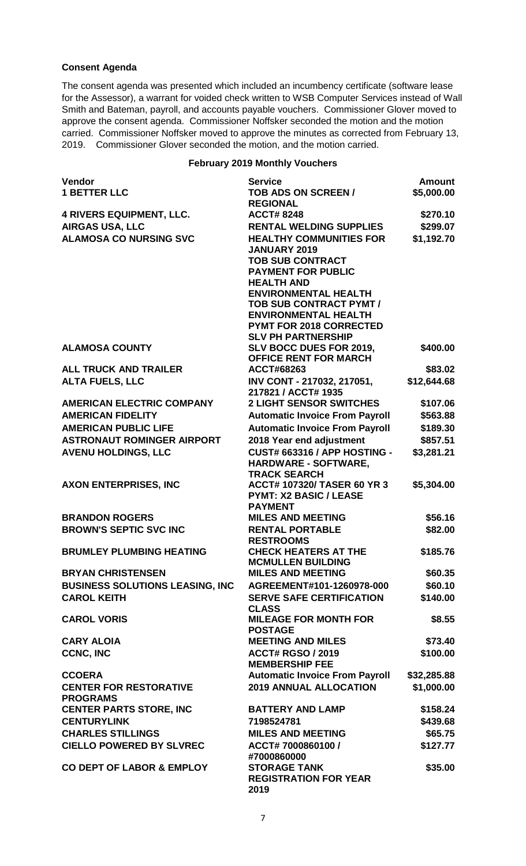# **Consent Agenda**

The consent agenda was presented which included an incumbency certificate (software lease for the Assessor), a warrant for voided check written to WSB Computer Services instead of Wall Smith and Bateman, payroll, and accounts payable vouchers. Commissioner Glover moved to approve the consent agenda. Commissioner Noffsker seconded the motion and the motion carried. Commissioner Noffsker moved to approve the minutes as corrected from February 13, 2019. Commissioner Glover seconded the motion, and the motion carried.

### **February 2019 Monthly Vouchers**

| <b>Vendor</b><br><b>1 BETTER LLC</b>   | <b>Service</b><br>TOB ADS ON SCREEN /                              | <b>Amount</b><br>\$5,000.00 |
|----------------------------------------|--------------------------------------------------------------------|-----------------------------|
|                                        | <b>REGIONAL</b>                                                    |                             |
| <b>4 RIVERS EQUIPMENT, LLC.</b>        | <b>ACCT#8248</b>                                                   | \$270.10                    |
| <b>AIRGAS USA, LLC</b>                 | <b>RENTAL WELDING SUPPLIES</b>                                     | \$299.07                    |
| <b>ALAMOSA CO NURSING SVC</b>          | <b>HEALTHY COMMUNITIES FOR</b><br><b>JANUARY 2019</b>              | \$1,192.70                  |
|                                        | <b>TOB SUB CONTRACT</b><br><b>PAYMENT FOR PUBLIC</b>               |                             |
|                                        | <b>HEALTH AND</b>                                                  |                             |
|                                        | <b>ENVIRONMENTAL HEALTH</b>                                        |                             |
|                                        | <b>TOB SUB CONTRACT PYMT /</b><br><b>ENVIRONMENTAL HEALTH</b>      |                             |
|                                        | <b>PYMT FOR 2018 CORRECTED</b>                                     |                             |
|                                        | <b>SLV PH PARTNERSHIP</b>                                          |                             |
| <b>ALAMOSA COUNTY</b>                  | SLV BOCC DUES FOR 2019,<br><b>OFFICE RENT FOR MARCH</b>            | \$400.00                    |
| <b>ALL TRUCK AND TRAILER</b>           | ACCT#68263                                                         | \$83.02                     |
| <b>ALTA FUELS, LLC</b>                 | INV CONT - 217032, 217051,                                         | \$12,644.68                 |
|                                        | 217821 / ACCT# 1935                                                |                             |
| <b>AMERICAN ELECTRIC COMPANY</b>       | <b>2 LIGHT SENSOR SWITCHES</b>                                     | \$107.06                    |
| <b>AMERICAN FIDELITY</b>               | <b>Automatic Invoice From Payroll</b>                              | \$563.88                    |
| <b>AMERICAN PUBLIC LIFE</b>            | <b>Automatic Invoice From Payroll</b>                              | \$189.30                    |
| <b>ASTRONAUT ROMINGER AIRPORT</b>      | 2018 Year end adjustment                                           | \$857.51                    |
| <b>AVENU HOLDINGS, LLC</b>             | <b>CUST# 663316 / APP HOSTING -</b><br><b>HARDWARE - SOFTWARE,</b> | \$3,281.21                  |
|                                        | <b>TRACK SEARCH</b>                                                |                             |
| <b>AXON ENTERPRISES, INC</b>           | ACCT# 107320/ TASER 60 YR 3<br><b>PYMT: X2 BASIC / LEASE</b>       | \$5,304.00                  |
|                                        | <b>PAYMENT</b>                                                     |                             |
| <b>BRANDON ROGERS</b>                  | <b>MILES AND MEETING</b>                                           | \$56.16                     |
| <b>BROWN'S SEPTIC SVC INC</b>          | <b>RENTAL PORTABLE</b>                                             | \$82.00                     |
|                                        | <b>RESTROOMS</b>                                                   |                             |
| <b>BRUMLEY PLUMBING HEATING</b>        | <b>CHECK HEATERS AT THE</b>                                        | \$185.76                    |
|                                        | <b>MCMULLEN BUILDING</b>                                           |                             |
| <b>BRYAN CHRISTENSEN</b>               | <b>MILES AND MEETING</b>                                           | \$60.35                     |
| <b>BUSINESS SOLUTIONS LEASING, INC</b> | AGREEMENT#101-1260978-000                                          | \$60.10                     |
| <b>CAROL KEITH</b>                     | <b>SERVE SAFE CERTIFICATION</b><br><b>CLASS</b>                    | \$140.00                    |
| <b>CAROL VORIS</b>                     | <b>MILEAGE FOR MONTH FOR</b><br><b>POSTAGE</b>                     | \$8.55                      |
| <b>CARY ALOIA</b>                      | <b>MEETING AND MILES</b>                                           | \$73.40                     |
| <b>CCNC, INC</b>                       | <b>ACCT# RGSO / 2019</b><br><b>MEMBERSHIP FEE</b>                  | \$100.00                    |
| <b>CCOERA</b>                          | <b>Automatic Invoice From Payroll</b>                              | \$32,285.88                 |
| <b>CENTER FOR RESTORATIVE</b>          | <b>2019 ANNUAL ALLOCATION</b>                                      | \$1,000.00                  |
| <b>PROGRAMS</b>                        |                                                                    |                             |
| <b>CENTER PARTS STORE, INC</b>         | <b>BATTERY AND LAMP</b>                                            | \$158.24                    |
| <b>CENTURYLINK</b>                     | 7198524781                                                         | \$439.68                    |
| <b>CHARLES STILLINGS</b>               | <b>MILES AND MEETING</b>                                           | \$65.75                     |
| <b>CIELLO POWERED BY SLVREC</b>        | ACCT# 7000860100 /<br>#7000860000                                  | \$127.77                    |
| <b>CO DEPT OF LABOR &amp; EMPLOY</b>   | <b>STORAGE TANK</b>                                                | \$35.00                     |
|                                        | <b>REGISTRATION FOR YEAR</b><br>2019                               |                             |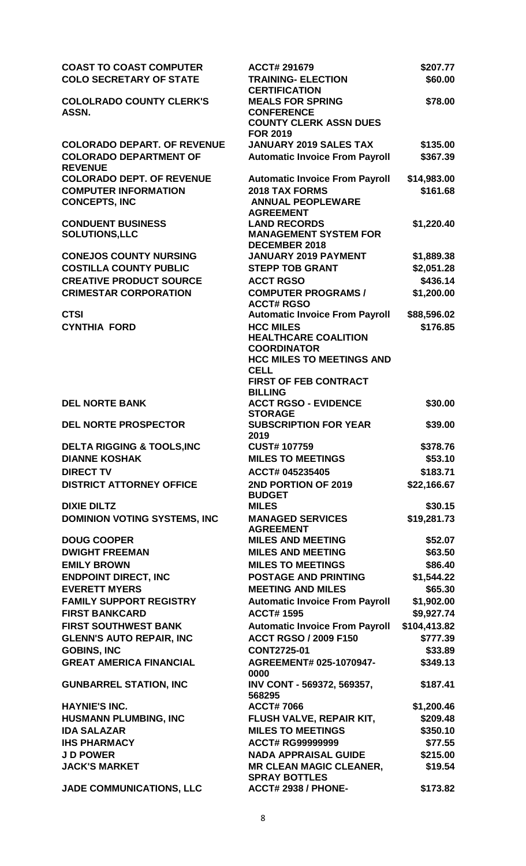| <b>COAST TO COAST COMPUTER</b><br><b>COLO SECRETARY OF STATE</b> | <b>ACCT# 291679</b><br><b>TRAINING- ELECTION</b>                      | \$207.77<br>\$60.00      |
|------------------------------------------------------------------|-----------------------------------------------------------------------|--------------------------|
| <b>COLOLRADO COUNTY CLERK'S</b>                                  | <b>CERTIFICATION</b><br><b>MEALS FOR SPRING</b>                       | \$78.00                  |
| ASSN.                                                            | <b>CONFERENCE</b><br><b>COUNTY CLERK ASSN DUES</b><br><b>FOR 2019</b> |                          |
| <b>COLORADO DEPART, OF REVENUE</b>                               | <b>JANUARY 2019 SALES TAX</b>                                         | \$135.00                 |
| <b>COLORADO DEPARTMENT OF</b><br><b>REVENUE</b>                  | <b>Automatic Invoice From Payroll</b>                                 | \$367.39                 |
| <b>COLORADO DEPT. OF REVENUE</b>                                 | <b>Automatic Invoice From Payroll</b>                                 | \$14,983.00              |
| <b>COMPUTER INFORMATION</b><br><b>CONCEPTS, INC</b>              | <b>2018 TAX FORMS</b><br><b>ANNUAL PEOPLEWARE</b><br><b>AGREEMENT</b> | \$161.68                 |
| <b>CONDUENT BUSINESS</b><br><b>SOLUTIONS,LLC</b>                 | <b>LAND RECORDS</b><br><b>MANAGEMENT SYSTEM FOR</b>                   | \$1,220.40               |
| <b>CONEJOS COUNTY NURSING</b>                                    | <b>DECEMBER 2018</b><br><b>JANUARY 2019 PAYMENT</b>                   |                          |
| <b>COSTILLA COUNTY PUBLIC</b>                                    | <b>STEPP TOB GRANT</b>                                                | \$1,889.38<br>\$2,051.28 |
| <b>CREATIVE PRODUCT SOURCE</b>                                   | <b>ACCT RGSO</b>                                                      | \$436.14                 |
| <b>CRIMESTAR CORPORATION</b>                                     | <b>COMPUTER PROGRAMS /</b>                                            | \$1,200.00               |
|                                                                  | <b>ACCT# RGSO</b>                                                     |                          |
| <b>CTSI</b><br><b>CYNTHIA FORD</b>                               | <b>Automatic Invoice From Payroll</b><br><b>HCC MILES</b>             | \$88,596.02<br>\$176.85  |
|                                                                  | <b>HEALTHCARE COALITION</b><br><b>COORDINATOR</b>                     |                          |
|                                                                  | <b>HCC MILES TO MEETINGS AND</b><br><b>CELL</b>                       |                          |
|                                                                  | <b>FIRST OF FEB CONTRACT</b>                                          |                          |
| <b>DEL NORTE BANK</b>                                            | <b>BILLING</b><br><b>ACCT RGSO - EVIDENCE</b><br><b>STORAGE</b>       | \$30.00                  |
| <b>DEL NORTE PROSPECTOR</b>                                      | <b>SUBSCRIPTION FOR YEAR</b><br>2019                                  | \$39.00                  |
| <b>DELTA RIGGING &amp; TOOLS, INC</b>                            | <b>CUST#107759</b>                                                    | \$378.76                 |
| <b>DIANNE KOSHAK</b>                                             | <b>MILES TO MEETINGS</b>                                              | \$53.10                  |
| <b>DIRECT TV</b>                                                 | ACCT# 045235405                                                       | \$183.71                 |
| <b>DISTRICT ATTORNEY OFFICE</b>                                  | 2ND PORTION OF 2019<br><b>BUDGET</b>                                  | \$22,166.67              |
| <b>DIXIE DILTZ</b>                                               | <b>MILES</b>                                                          | \$30.15                  |
| <b>DOMINION VOTING SYSTEMS, INC</b>                              | <b>MANAGED SERVICES</b><br><b>AGREEMENT</b>                           | \$19,281.73              |
| <b>DOUG COOPER</b>                                               | <b>MILES AND MEETING</b>                                              | \$52.07                  |
| <b>DWIGHT FREEMAN</b>                                            | <b>MILES AND MEETING</b>                                              | \$63.50                  |
| <b>EMILY BROWN</b>                                               | <b>MILES TO MEETINGS</b>                                              | \$86.40                  |
| <b>ENDPOINT DIRECT, INC</b>                                      | <b>POSTAGE AND PRINTING</b>                                           | \$1,544.22               |
| <b>EVERETT MYERS</b>                                             | <b>MEETING AND MILES</b>                                              | \$65.30                  |
| <b>FAMILY SUPPORT REGISTRY</b><br><b>FIRST BANKCARD</b>          | <b>Automatic Invoice From Payroll</b><br><b>ACCT#1595</b>             | \$1,902.00<br>\$9,927.74 |
| <b>FIRST SOUTHWEST BANK</b>                                      |                                                                       | \$104,413.82             |
| <b>GLENN'S AUTO REPAIR, INC</b>                                  | <b>Automatic Invoice From Payroll</b><br><b>ACCT RGSO / 2009 F150</b> | \$777.39                 |
| <b>GOBINS, INC</b>                                               | <b>CONT2725-01</b>                                                    | \$33.89                  |
| <b>GREAT AMERICA FINANCIAL</b>                                   | AGREEMENT# 025-1070947-<br>0000                                       | \$349.13                 |
| <b>GUNBARREL STATION, INC</b>                                    | INV CONT - 569372, 569357,<br>568295                                  | \$187.41                 |
| <b>HAYNIE'S INC.</b>                                             | <b>ACCT#7066</b>                                                      | \$1,200.46               |
| <b>HUSMANN PLUMBING, INC</b>                                     | FLUSH VALVE, REPAIR KIT,                                              | \$209.48                 |
| <b>IDA SALAZAR</b>                                               | <b>MILES TO MEETINGS</b>                                              | \$350.10                 |
| <b>IHS PHARMACY</b>                                              | <b>ACCT# RG99999999</b>                                               | \$77.55                  |
| <b>JD POWER</b>                                                  | <b>NADA APPRAISAL GUIDE</b>                                           | \$215.00                 |
| <b>JACK'S MARKET</b>                                             | <b>MR CLEAN MAGIC CLEANER,</b><br><b>SPRAY BOTTLES</b>                | \$19.54                  |
| <b>JADE COMMUNICATIONS, LLC</b>                                  | <b>ACCT# 2938 / PHONE-</b>                                            | \$173.82                 |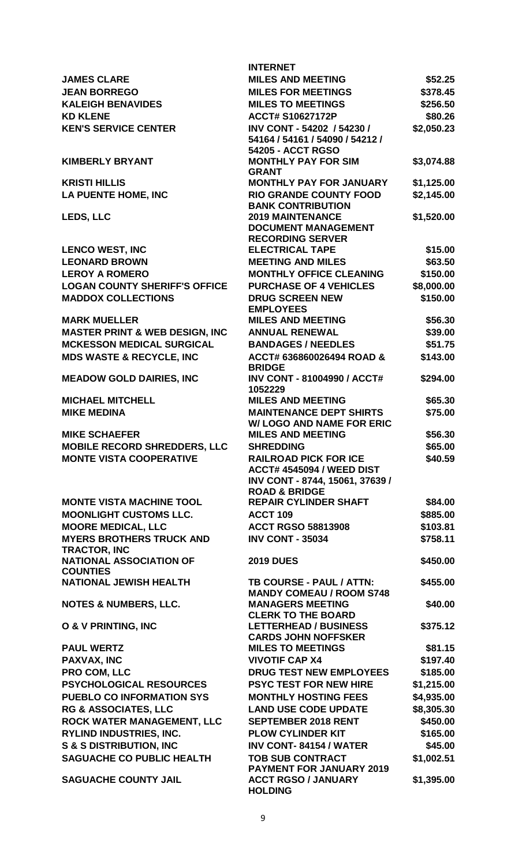|                                                                                     | <b>INTERNET</b>                                                                                     |                      |
|-------------------------------------------------------------------------------------|-----------------------------------------------------------------------------------------------------|----------------------|
| <b>JAMES CLARE</b>                                                                  | <b>MILES AND MEETING</b>                                                                            | \$52.25              |
| <b>JEAN BORREGO</b>                                                                 | <b>MILES FOR MEETINGS</b>                                                                           | \$378.45             |
| <b>KALEIGH BENAVIDES</b>                                                            | <b>MILES TO MEETINGS</b>                                                                            | \$256.50             |
| <b>KD KLENE</b>                                                                     | <b>ACCT# S10627172P</b>                                                                             | \$80.26              |
| <b>KEN'S SERVICE CENTER</b>                                                         | INV CONT - 54202 / 54230 /<br>54164 / 54161 / 54090 / 54212 /                                       | \$2,050.23           |
| <b>KIMBERLY BRYANT</b>                                                              | 54205 - ACCT RGSO<br><b>MONTHLY PAY FOR SIM</b><br><b>GRANT</b>                                     | \$3,074.88           |
| <b>KRISTI HILLIS</b>                                                                | <b>MONTHLY PAY FOR JANUARY</b>                                                                      | \$1,125.00           |
| <b>LA PUENTE HOME, INC</b>                                                          | <b>RIO GRANDE COUNTY FOOD</b><br><b>BANK CONTRIBUTION</b>                                           | \$2,145.00           |
| LEDS, LLC                                                                           | <b>2019 MAINTENANCE</b><br><b>DOCUMENT MANAGEMENT</b><br><b>RECORDING SERVER</b>                    | \$1,520.00           |
| <b>LENCO WEST, INC</b>                                                              | <b>ELECTRICAL TAPE</b>                                                                              | \$15.00              |
| <b>LEONARD BROWN</b>                                                                | <b>MEETING AND MILES</b>                                                                            | \$63.50              |
| <b>LEROY A ROMERO</b>                                                               | <b>MONTHLY OFFICE CLEANING</b>                                                                      | \$150.00             |
| <b>LOGAN COUNTY SHERIFF'S OFFICE</b>                                                | <b>PURCHASE OF 4 VEHICLES</b>                                                                       | \$8,000.00           |
| <b>MADDOX COLLECTIONS</b>                                                           | <b>DRUG SCREEN NEW</b><br><b>EMPLOYEES</b>                                                          | \$150.00             |
| <b>MARK MUELLER</b>                                                                 | <b>MILES AND MEETING</b>                                                                            | \$56.30              |
| <b>MASTER PRINT &amp; WEB DESIGN, INC</b>                                           | <b>ANNUAL RENEWAL</b>                                                                               | \$39.00              |
| <b>MCKESSON MEDICAL SURGICAL</b>                                                    | <b>BANDAGES / NEEDLES</b>                                                                           | \$51.75              |
| <b>MDS WASTE &amp; RECYCLE, INC</b>                                                 | ACCT# 636860026494 ROAD &<br><b>BRIDGE</b>                                                          | \$143.00             |
| <b>MEADOW GOLD DAIRIES, INC</b>                                                     | <b>INV CONT - 81004990 / ACCT#</b><br>1052229                                                       | \$294.00             |
| <b>MICHAEL MITCHELL</b>                                                             | <b>MILES AND MEETING</b>                                                                            | \$65.30              |
| <b>MIKE MEDINA</b>                                                                  | <b>MAINTENANCE DEPT SHIRTS</b><br><b>W/ LOGO AND NAME FOR ERIC</b>                                  | \$75.00              |
| <b>MIKE SCHAEFER</b>                                                                | <b>MILES AND MEETING</b>                                                                            | \$56.30              |
| <b>MOBILE RECORD SHREDDERS, LLC</b>                                                 | <b>SHREDDING</b>                                                                                    | \$65.00              |
| <b>MONTE VISTA COOPERATIVE</b>                                                      | <b>RAILROAD PICK FOR ICE</b><br><b>ACCT# 4545094 / WEED DIST</b><br>INV CONT - 8744, 15061, 37639 / | \$40.59              |
|                                                                                     | <b>ROAD &amp; BRIDGE</b><br><b>REPAIR CYLINDER SHAFT</b>                                            |                      |
| <b>MONTE VISTA MACHINE TOOL</b>                                                     |                                                                                                     | \$84.00              |
| <b>MOONLIGHT CUSTOMS LLC.</b>                                                       | <b>ACCT 109</b>                                                                                     | \$885.00             |
| <b>MOORE MEDICAL, LLC</b><br><b>MYERS BROTHERS TRUCK AND</b><br><b>TRACTOR, INC</b> | <b>ACCT RGSO 58813908</b><br><b>INV CONT - 35034</b>                                                | \$103.81<br>\$758.11 |
| <b>NATIONAL ASSOCIATION OF</b><br><b>COUNTIES</b>                                   | <b>2019 DUES</b>                                                                                    | \$450.00             |
| <b>NATIONAL JEWISH HEALTH</b>                                                       | TB COURSE - PAUL / ATTN:<br><b>MANDY COMEAU / ROOM S748</b>                                         | \$455.00             |
| <b>NOTES &amp; NUMBERS, LLC.</b>                                                    | <b>MANAGERS MEETING</b><br><b>CLERK TO THE BOARD</b>                                                | \$40.00              |
| <b>O &amp; V PRINTING, INC</b>                                                      | <b>LETTERHEAD / BUSINESS</b><br><b>CARDS JOHN NOFFSKER</b>                                          | \$375.12             |
| <b>PAUL WERTZ</b>                                                                   | <b>MILES TO MEETINGS</b>                                                                            | \$81.15              |
| <b>PAXVAX, INC</b>                                                                  | <b>VIVOTIF CAP X4</b>                                                                               | \$197.40             |
| PRO COM, LLC                                                                        | <b>DRUG TEST NEW EMPLOYEES</b>                                                                      | \$185.00             |
| <b>PSYCHOLOGICAL RESOURCES</b>                                                      | <b>PSYC TEST FOR NEW HIRE</b>                                                                       | \$1,215.00           |
| <b>PUEBLO CO INFORMATION SYS</b>                                                    | <b>MONTHLY HOSTING FEES</b>                                                                         | \$4,935.00           |
| <b>RG &amp; ASSOCIATES, LLC</b>                                                     | <b>LAND USE CODE UPDATE</b>                                                                         | \$8,305.30           |
| <b>ROCK WATER MANAGEMENT, LLC</b>                                                   | <b>SEPTEMBER 2018 RENT</b>                                                                          | \$450.00             |
| <b>RYLIND INDUSTRIES, INC.</b>                                                      | <b>PLOW CYLINDER KIT</b>                                                                            | \$165.00             |
| <b>S &amp; S DISTRIBUTION, INC</b>                                                  | <b>INV CONT-84154 / WATER</b>                                                                       | \$45.00              |
| <b>SAGUACHE CO PUBLIC HEALTH</b>                                                    | <b>TOB SUB CONTRACT</b><br><b>PAYMENT FOR JANUARY 2019</b>                                          | \$1,002.51           |
| <b>SAGUACHE COUNTY JAIL</b>                                                         | <b>ACCT RGSO / JANUARY</b><br><b>HOLDING</b>                                                        | \$1,395.00           |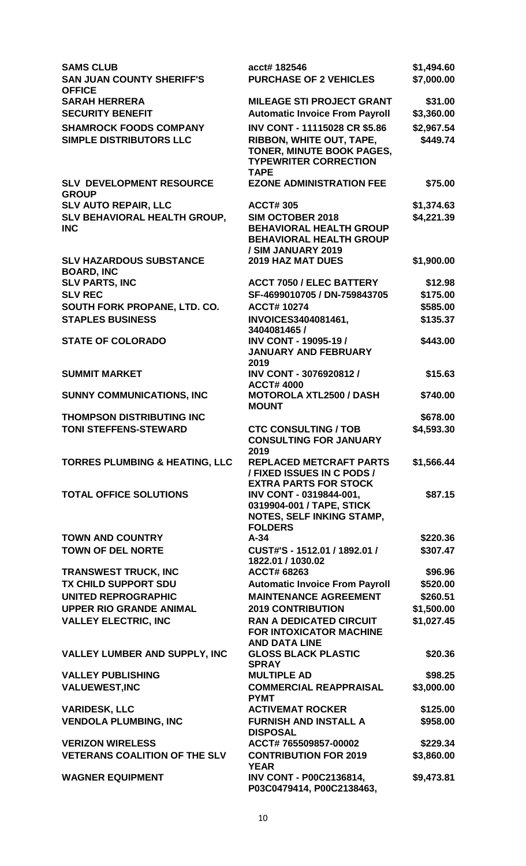| <b>SAMS CLUB</b><br><b>SAN JUAN COUNTY SHERIFF'S</b><br><b>OFFICE</b> | acct# 182546<br><b>PURCHASE OF 2 VEHICLES</b>                                                                     | \$1,494.60<br>\$7,000.00 |
|-----------------------------------------------------------------------|-------------------------------------------------------------------------------------------------------------------|--------------------------|
| <b>SARAH HERRERA</b><br><b>SECURITY BENEFIT</b>                       | <b>MILEAGE STI PROJECT GRANT</b><br><b>Automatic Invoice From Payroll</b>                                         | \$31.00<br>\$3,360.00    |
| <b>SHAMROCK FOODS COMPANY</b>                                         | INV CONT - 11115028 CR \$5.86                                                                                     | \$2,967.54               |
| SIMPLE DISTRIBUTORS LLC                                               | RIBBON, WHITE OUT, TAPE,<br>TONER, MINUTE BOOK PAGES,<br><b>TYPEWRITER CORRECTION</b><br><b>TAPE</b>              | \$449.74                 |
| <b>SLV DEVELOPMENT RESOURCE</b><br><b>GROUP</b>                       | <b>EZONE ADMINISTRATION FEE</b>                                                                                   | \$75.00                  |
| <b>SLV AUTO REPAIR, LLC</b>                                           | <b>ACCT#305</b>                                                                                                   | \$1,374.63               |
| SLV BEHAVIORAL HEALTH GROUP,<br><b>INC</b>                            | <b>SIM OCTOBER 2018</b><br><b>BEHAVIORAL HEALTH GROUP</b><br><b>BEHAVIORAL HEALTH GROUP</b><br>/ SIM JANUARY 2019 | \$4,221.39               |
| <b>SLV HAZARDOUS SUBSTANCE</b><br><b>BOARD, INC</b>                   | <b>2019 HAZ MAT DUES</b>                                                                                          | \$1,900.00               |
| <b>SLV PARTS, INC</b>                                                 | <b>ACCT 7050 / ELEC BATTERY</b>                                                                                   | \$12.98                  |
| <b>SLV REC</b>                                                        | SF-4699010705 / DN-759843705                                                                                      | \$175.00                 |
| SOUTH FORK PROPANE, LTD. CO.                                          | <b>ACCT#10274</b>                                                                                                 | \$585.00                 |
| <b>STAPLES BUSINESS</b>                                               | INVOICES3404081461,<br>3404081465 /                                                                               | \$135.37                 |
| <b>STATE OF COLORADO</b>                                              | INV CONT - 19095-19 /<br><b>JANUARY AND FEBRUARY</b><br>2019                                                      | \$443.00                 |
| <b>SUMMIT MARKET</b>                                                  | INV CONT - 3076920812 /<br><b>ACCT# 4000</b>                                                                      | \$15.63                  |
| <b>SUNNY COMMUNICATIONS, INC</b>                                      | <b>MOTOROLA XTL2500 / DASH</b><br><b>MOUNT</b>                                                                    | \$740.00                 |
| <b>THOMPSON DISTRIBUTING INC</b>                                      |                                                                                                                   | \$678.00                 |
| <b>TONI STEFFENS-STEWARD</b>                                          | <b>CTC CONSULTING / TOB</b><br><b>CONSULTING FOR JANUARY</b><br>2019                                              | \$4,593.30               |
| <b>TORRES PLUMBING &amp; HEATING, LLC</b>                             | <b>REPLACED METCRAFT PARTS</b><br>/ FIXED ISSUES IN C PODS /<br><b>EXTRA PARTS FOR STOCK</b>                      | \$1,566.44               |
| <b>TOTAL OFFICE SOLUTIONS</b>                                         | INV CONT - 0319844-001,<br>0319904-001 / TAPE, STICK<br>NOTES, SELF INKING STAMP,<br><b>FOLDERS</b>               | \$87.15                  |
| <b>TOWN AND COUNTRY</b>                                               | $A-34$                                                                                                            | \$220.36                 |
| <b>TOWN OF DEL NORTE</b>                                              | CUST#'S - 1512.01 / 1892.01 /<br>1822.01 / 1030.02                                                                | \$307.47                 |
| <b>TRANSWEST TRUCK, INC</b>                                           | <b>ACCT# 68263</b>                                                                                                | \$96.96                  |
| TX CHILD SUPPORT SDU                                                  | <b>Automatic Invoice From Payroll</b>                                                                             | \$520.00                 |
| <b>UNITED REPROGRAPHIC</b>                                            | <b>MAINTENANCE AGREEMENT</b>                                                                                      | \$260.51                 |
| <b>UPPER RIO GRANDE ANIMAL</b>                                        | <b>2019 CONTRIBUTION</b>                                                                                          | \$1,500.00               |
| <b>VALLEY ELECTRIC, INC</b>                                           | <b>RAN A DEDICATED CIRCUIT</b><br><b>FOR INTOXICATOR MACHINE</b><br><b>AND DATA LINE</b>                          | \$1,027.45               |
| <b>VALLEY LUMBER AND SUPPLY, INC</b>                                  | <b>GLOSS BLACK PLASTIC</b><br><b>SPRAY</b>                                                                        | \$20.36                  |
| <b>VALLEY PUBLISHING</b>                                              | <b>MULTIPLE AD</b>                                                                                                | \$98.25                  |
| <b>VALUEWEST, INC</b>                                                 | <b>COMMERCIAL REAPPRAISAL</b><br><b>PYMT</b>                                                                      | \$3,000.00               |
| <b>VARIDESK, LLC</b>                                                  | <b>ACTIVEMAT ROCKER</b>                                                                                           | \$125.00                 |
| <b>VENDOLA PLUMBING, INC</b>                                          | <b>FURNISH AND INSTALL A</b><br><b>DISPOSAL</b>                                                                   | \$958.00                 |
| <b>VERIZON WIRELESS</b>                                               | ACCT# 765509857-00002                                                                                             | \$229.34                 |
| <b>VETERANS COALITION OF THE SLV</b>                                  | <b>CONTRIBUTION FOR 2019</b><br><b>YEAR</b>                                                                       | \$3,860.00               |
| <b>WAGNER EQUIPMENT</b>                                               | <b>INV CONT - P00C2136814,</b><br>P03C0479414, P00C2138463,                                                       | \$9,473.81               |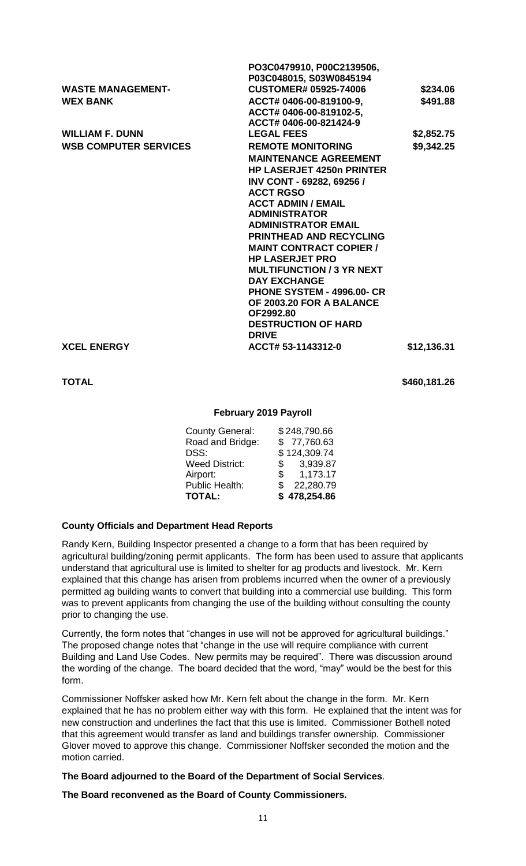|                              | PO3C0479910, P00C2139506,             |             |
|------------------------------|---------------------------------------|-------------|
|                              | P03C048015, S03W0845194               |             |
| <b>WASTE MANAGEMENT-</b>     | <b>CUSTOMER# 05925-74006</b>          | \$234.06    |
| <b>WEX BANK</b>              | ACCT# 0406-00-819100-9,               | \$491.88    |
|                              | ACCT# 0406-00-819102-5,               |             |
|                              | ACCT# 0406-00-821424-9                |             |
| <b>WILLIAM F. DUNN</b>       | <b>LEGAL FEES</b>                     | \$2,852.75  |
| <b>WSB COMPUTER SERVICES</b> | <b>REMOTE MONITORING</b>              | \$9,342.25  |
|                              | <b>MAINTENANCE AGREEMENT</b>          |             |
|                              | <b>HP LASERJET 4250n PRINTER</b>      |             |
|                              | <b>INV CONT - 69282, 69256 /</b>      |             |
|                              | <b>ACCT RGSO</b>                      |             |
|                              | <b>ACCT ADMIN / EMAIL</b>             |             |
|                              | <b>ADMINISTRATOR</b>                  |             |
|                              | <b>ADMINISTRATOR EMAIL</b>            |             |
|                              | <b>PRINTHEAD AND RECYCLING</b>        |             |
|                              | <b>MAINT CONTRACT COPIER /</b>        |             |
|                              | <b>HP LASERJET PRO</b>                |             |
|                              | <b>MULTIFUNCTION / 3 YR NEXT</b>      |             |
|                              | <b>DAY EXCHANGE</b>                   |             |
|                              | <b>PHONE SYSTEM - 4996.00- CR</b>     |             |
|                              | OF 2003.20 FOR A BALANCE<br>OF2992.80 |             |
|                              | <b>DESTRUCTION OF HARD</b>            |             |
|                              | <b>DRIVE</b>                          |             |
| <b>XCEL ENERGY</b>           | ACCT# 53-1143312-0                    | \$12,136.31 |
|                              |                                       |             |
|                              |                                       |             |

**TOTAL** \$460,181.26

#### **February 2019 Payroll**

| <b>County General:</b> | \$248,790.66             |
|------------------------|--------------------------|
| Road and Bridge:       | \$77,760.63              |
| DSS:                   | \$124,309.74             |
| <b>Weed District:</b>  | 3,939.87<br>$\mathbb{S}$ |
| Airport:               | 1,173.17<br>\$           |
| <b>Public Health:</b>  | 22,280.79<br>\$.         |
| <b>TOTAL:</b>          | \$478,254.86             |
|                        |                          |

# **County Officials and Department Head Reports**

Randy Kern, Building Inspector presented a change to a form that has been required by agricultural building/zoning permit applicants. The form has been used to assure that applicants understand that agricultural use is limited to shelter for ag products and livestock. Mr. Kern explained that this change has arisen from problems incurred when the owner of a previously permitted ag building wants to convert that building into a commercial use building. This form was to prevent applicants from changing the use of the building without consulting the county prior to changing the use.

Currently, the form notes that "changes in use will not be approved for agricultural buildings." The proposed change notes that "change in the use will require compliance with current Building and Land Use Codes. New permits may be required". There was discussion around the wording of the change. The board decided that the word, "may" would be the best for this form.

Commissioner Noffsker asked how Mr. Kern felt about the change in the form. Mr. Kern explained that he has no problem either way with this form. He explained that the intent was for new construction and underlines the fact that this use is limited. Commissioner Bothell noted that this agreement would transfer as land and buildings transfer ownership. Commissioner Glover moved to approve this change. Commissioner Noffsker seconded the motion and the motion carried.

**The Board adjourned to the Board of the Department of Social Services**.

**The Board reconvened as the Board of County Commissioners.**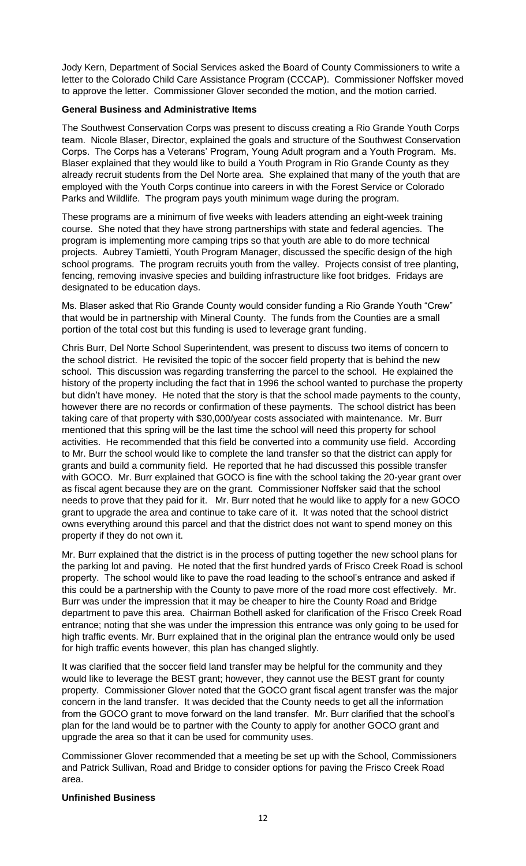Jody Kern, Department of Social Services asked the Board of County Commissioners to write a letter to the Colorado Child Care Assistance Program (CCCAP). Commissioner Noffsker moved to approve the letter. Commissioner Glover seconded the motion, and the motion carried.

## **General Business and Administrative Items**

The Southwest Conservation Corps was present to discuss creating a Rio Grande Youth Corps team. Nicole Blaser, Director, explained the goals and structure of the Southwest Conservation Corps. The Corps has a Veterans' Program, Young Adult program and a Youth Program. Ms. Blaser explained that they would like to build a Youth Program in Rio Grande County as they already recruit students from the Del Norte area. She explained that many of the youth that are employed with the Youth Corps continue into careers in with the Forest Service or Colorado Parks and Wildlife. The program pays youth minimum wage during the program.

These programs are a minimum of five weeks with leaders attending an eight-week training course. She noted that they have strong partnerships with state and federal agencies. The program is implementing more camping trips so that youth are able to do more technical projects. Aubrey Tamietti, Youth Program Manager, discussed the specific design of the high school programs. The program recruits youth from the valley. Projects consist of tree planting, fencing, removing invasive species and building infrastructure like foot bridges. Fridays are designated to be education days.

Ms. Blaser asked that Rio Grande County would consider funding a Rio Grande Youth "Crew" that would be in partnership with Mineral County. The funds from the Counties are a small portion of the total cost but this funding is used to leverage grant funding.

Chris Burr, Del Norte School Superintendent, was present to discuss two items of concern to the school district. He revisited the topic of the soccer field property that is behind the new school. This discussion was regarding transferring the parcel to the school. He explained the history of the property including the fact that in 1996 the school wanted to purchase the property but didn't have money. He noted that the story is that the school made payments to the county, however there are no records or confirmation of these payments. The school district has been taking care of that property with \$30,000/year costs associated with maintenance. Mr. Burr mentioned that this spring will be the last time the school will need this property for school activities. He recommended that this field be converted into a community use field. According to Mr. Burr the school would like to complete the land transfer so that the district can apply for grants and build a community field. He reported that he had discussed this possible transfer with GOCO. Mr. Burr explained that GOCO is fine with the school taking the 20-year grant over as fiscal agent because they are on the grant. Commissioner Noffsker said that the school needs to prove that they paid for it. Mr. Burr noted that he would like to apply for a new GOCO grant to upgrade the area and continue to take care of it. It was noted that the school district owns everything around this parcel and that the district does not want to spend money on this property if they do not own it.

Mr. Burr explained that the district is in the process of putting together the new school plans for the parking lot and paving. He noted that the first hundred yards of Frisco Creek Road is school property. The school would like to pave the road leading to the school's entrance and asked if this could be a partnership with the County to pave more of the road more cost effectively. Mr. Burr was under the impression that it may be cheaper to hire the County Road and Bridge department to pave this area. Chairman Bothell asked for clarification of the Frisco Creek Road entrance; noting that she was under the impression this entrance was only going to be used for high traffic events. Mr. Burr explained that in the original plan the entrance would only be used for high traffic events however, this plan has changed slightly.

It was clarified that the soccer field land transfer may be helpful for the community and they would like to leverage the BEST grant; however, they cannot use the BEST grant for county property. Commissioner Glover noted that the GOCO grant fiscal agent transfer was the major concern in the land transfer. It was decided that the County needs to get all the information from the GOCO grant to move forward on the land transfer. Mr. Burr clarified that the school's plan for the land would be to partner with the County to apply for another GOCO grant and upgrade the area so that it can be used for community uses.

Commissioner Glover recommended that a meeting be set up with the School, Commissioners and Patrick Sullivan, Road and Bridge to consider options for paving the Frisco Creek Road area.

# **Unfinished Business**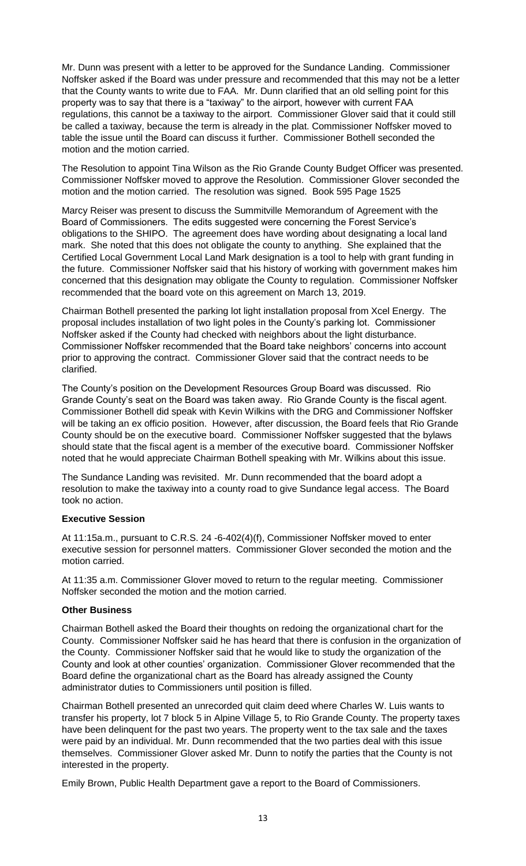Mr. Dunn was present with a letter to be approved for the Sundance Landing. Commissioner Noffsker asked if the Board was under pressure and recommended that this may not be a letter that the County wants to write due to FAA. Mr. Dunn clarified that an old selling point for this property was to say that there is a "taxiway" to the airport, however with current FAA regulations, this cannot be a taxiway to the airport. Commissioner Glover said that it could still be called a taxiway, because the term is already in the plat. Commissioner Noffsker moved to table the issue until the Board can discuss it further. Commissioner Bothell seconded the motion and the motion carried.

The Resolution to appoint Tina Wilson as the Rio Grande County Budget Officer was presented. Commissioner Noffsker moved to approve the Resolution. Commissioner Glover seconded the motion and the motion carried. The resolution was signed. Book 595 Page 1525

Marcy Reiser was present to discuss the Summitville Memorandum of Agreement with the Board of Commissioners. The edits suggested were concerning the Forest Service's obligations to the SHIPO. The agreement does have wording about designating a local land mark. She noted that this does not obligate the county to anything. She explained that the Certified Local Government Local Land Mark designation is a tool to help with grant funding in the future. Commissioner Noffsker said that his history of working with government makes him concerned that this designation may obligate the County to regulation. Commissioner Noffsker recommended that the board vote on this agreement on March 13, 2019.

Chairman Bothell presented the parking lot light installation proposal from Xcel Energy. The proposal includes installation of two light poles in the County's parking lot. Commissioner Noffsker asked if the County had checked with neighbors about the light disturbance. Commissioner Noffsker recommended that the Board take neighbors' concerns into account prior to approving the contract. Commissioner Glover said that the contract needs to be clarified.

The County's position on the Development Resources Group Board was discussed. Rio Grande County's seat on the Board was taken away. Rio Grande County is the fiscal agent. Commissioner Bothell did speak with Kevin Wilkins with the DRG and Commissioner Noffsker will be taking an ex officio position. However, after discussion, the Board feels that Rio Grande County should be on the executive board. Commissioner Noffsker suggested that the bylaws should state that the fiscal agent is a member of the executive board. Commissioner Noffsker noted that he would appreciate Chairman Bothell speaking with Mr. Wilkins about this issue.

The Sundance Landing was revisited. Mr. Dunn recommended that the board adopt a resolution to make the taxiway into a county road to give Sundance legal access. The Board took no action.

# **Executive Session**

At 11:15a.m., pursuant to C.R.S. 24 -6-402(4)(f), Commissioner Noffsker moved to enter executive session for personnel matters. Commissioner Glover seconded the motion and the motion carried.

At 11:35 a.m. Commissioner Glover moved to return to the regular meeting. Commissioner Noffsker seconded the motion and the motion carried.

# **Other Business**

Chairman Bothell asked the Board their thoughts on redoing the organizational chart for the County. Commissioner Noffsker said he has heard that there is confusion in the organization of the County. Commissioner Noffsker said that he would like to study the organization of the County and look at other counties' organization. Commissioner Glover recommended that the Board define the organizational chart as the Board has already assigned the County administrator duties to Commissioners until position is filled.

Chairman Bothell presented an unrecorded quit claim deed where Charles W. Luis wants to transfer his property, lot 7 block 5 in Alpine Village 5, to Rio Grande County. The property taxes have been delinquent for the past two years. The property went to the tax sale and the taxes were paid by an individual. Mr. Dunn recommended that the two parties deal with this issue themselves. Commissioner Glover asked Mr. Dunn to notify the parties that the County is not interested in the property.

Emily Brown, Public Health Department gave a report to the Board of Commissioners.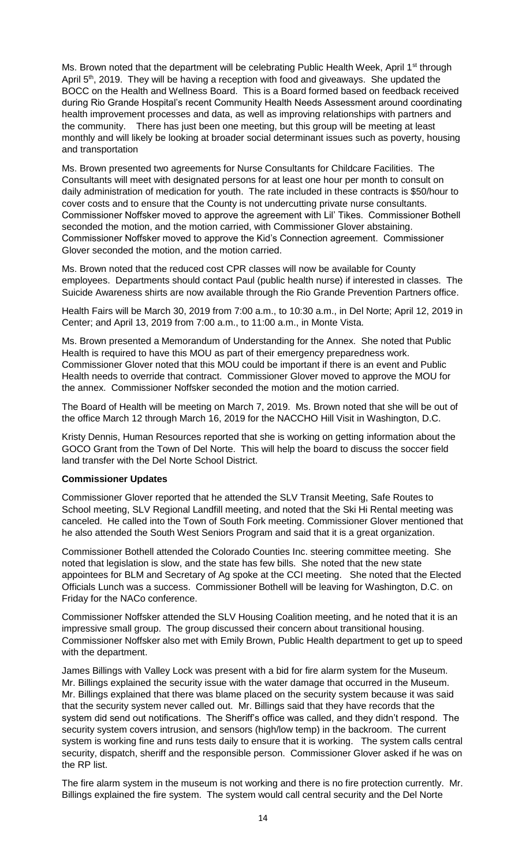Ms. Brown noted that the department will be celebrating Public Health Week, April 1<sup>st</sup> through April 5<sup>th</sup>, 2019. They will be having a reception with food and giveaways. She updated the BOCC on the Health and Wellness Board. This is a Board formed based on feedback received during Rio Grande Hospital's recent Community Health Needs Assessment around coordinating health improvement processes and data, as well as improving relationships with partners and the community. There has just been one meeting, but this group will be meeting at least monthly and will likely be looking at broader social determinant issues such as poverty, housing and transportation

Ms. Brown presented two agreements for Nurse Consultants for Childcare Facilities. The Consultants will meet with designated persons for at least one hour per month to consult on daily administration of medication for youth. The rate included in these contracts is \$50/hour to cover costs and to ensure that the County is not undercutting private nurse consultants. Commissioner Noffsker moved to approve the agreement with Lil' Tikes. Commissioner Bothell seconded the motion, and the motion carried, with Commissioner Glover abstaining. Commissioner Noffsker moved to approve the Kid's Connection agreement. Commissioner Glover seconded the motion, and the motion carried.

Ms. Brown noted that the reduced cost CPR classes will now be available for County employees. Departments should contact Paul (public health nurse) if interested in classes. The Suicide Awareness shirts are now available through the Rio Grande Prevention Partners office.

Health Fairs will be March 30, 2019 from 7:00 a.m., to 10:30 a.m., in Del Norte; April 12, 2019 in Center; and April 13, 2019 from 7:00 a.m., to 11:00 a.m., in Monte Vista.

Ms. Brown presented a Memorandum of Understanding for the Annex. She noted that Public Health is required to have this MOU as part of their emergency preparedness work. Commissioner Glover noted that this MOU could be important if there is an event and Public Health needs to override that contract. Commissioner Glover moved to approve the MOU for the annex. Commissioner Noffsker seconded the motion and the motion carried.

The Board of Health will be meeting on March 7, 2019. Ms. Brown noted that she will be out of the office March 12 through March 16, 2019 for the NACCHO Hill Visit in Washington, D.C.

Kristy Dennis, Human Resources reported that she is working on getting information about the GOCO Grant from the Town of Del Norte. This will help the board to discuss the soccer field land transfer with the Del Norte School District.

# **Commissioner Updates**

Commissioner Glover reported that he attended the SLV Transit Meeting, Safe Routes to School meeting, SLV Regional Landfill meeting, and noted that the Ski Hi Rental meeting was canceled. He called into the Town of South Fork meeting. Commissioner Glover mentioned that he also attended the South West Seniors Program and said that it is a great organization.

Commissioner Bothell attended the Colorado Counties Inc. steering committee meeting. She noted that legislation is slow, and the state has few bills. She noted that the new state appointees for BLM and Secretary of Ag spoke at the CCI meeting. She noted that the Elected Officials Lunch was a success. Commissioner Bothell will be leaving for Washington, D.C. on Friday for the NACo conference.

Commissioner Noffsker attended the SLV Housing Coalition meeting, and he noted that it is an impressive small group. The group discussed their concern about transitional housing. Commissioner Noffsker also met with Emily Brown, Public Health department to get up to speed with the department.

James Billings with Valley Lock was present with a bid for fire alarm system for the Museum. Mr. Billings explained the security issue with the water damage that occurred in the Museum. Mr. Billings explained that there was blame placed on the security system because it was said that the security system never called out. Mr. Billings said that they have records that the system did send out notifications. The Sheriff's office was called, and they didn't respond. The security system covers intrusion, and sensors (high/low temp) in the backroom. The current system is working fine and runs tests daily to ensure that it is working. The system calls central security, dispatch, sheriff and the responsible person. Commissioner Glover asked if he was on the RP list.

The fire alarm system in the museum is not working and there is no fire protection currently. Mr. Billings explained the fire system. The system would call central security and the Del Norte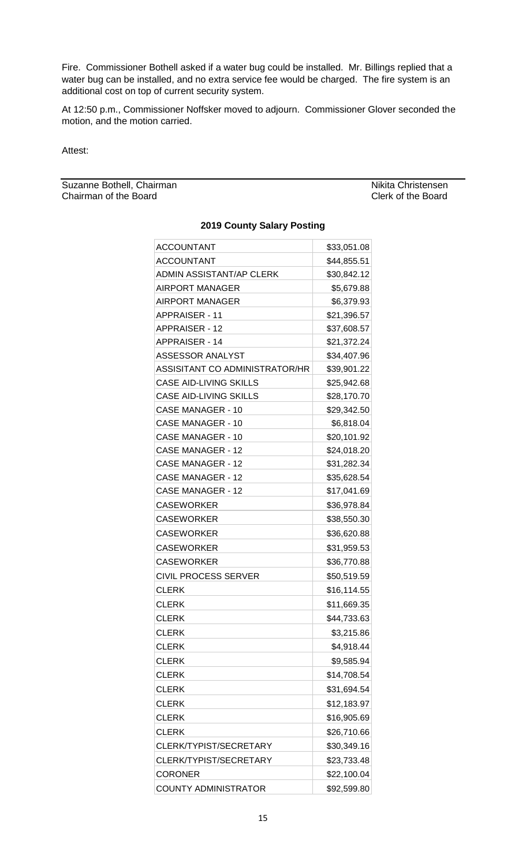Fire. Commissioner Bothell asked if a water bug could be installed. Mr. Billings replied that a water bug can be installed, and no extra service fee would be charged. The fire system is an additional cost on top of current security system.

At 12:50 p.m., Commissioner Noffsker moved to adjourn. Commissioner Glover seconded the motion, and the motion carried.

Attest:

Suzanne Bothell, Chairman Nikita Christensen<br>
Chairman of the Board<br>
Clerk of the Board Chairman of the Board

| <b>ACCOUNTANT</b>               | \$33,051.08 |
|---------------------------------|-------------|
| <b>ACCOUNTANT</b>               | \$44,855.51 |
| <b>ADMIN ASSISTANT/AP CLERK</b> | \$30,842.12 |
| <b>AIRPORT MANAGER</b>          | \$5,679.88  |
| <b>AIRPORT MANAGER</b>          | \$6,379.93  |
| <b>APPRAISER - 11</b>           | \$21,396.57 |
| <b>APPRAISER - 12</b>           | \$37,608.57 |
| <b>APPRAISER - 14</b>           | \$21,372.24 |
| ASSESSOR ANALYST                | \$34,407.96 |
| ASSISITANT CO ADMINISTRATOR/HR  | \$39,901.22 |
| <b>CASE AID-LIVING SKILLS</b>   | \$25,942.68 |
| CASE AID-LIVING SKILLS          | \$28,170.70 |
| CASE MANAGER - 10               | \$29,342.50 |
| <b>CASE MANAGER - 10</b>        | \$6,818.04  |
| CASE MANAGER - 10               | \$20,101.92 |
| <b>CASE MANAGER - 12</b>        | \$24,018.20 |
| CASE MANAGER - 12               | \$31,282.34 |
| <b>CASE MANAGER - 12</b>        | \$35,628.54 |
| CASE MANAGER - 12               | \$17,041.69 |
| <b>CASEWORKER</b>               | \$36,978.84 |
| <b>CASEWORKER</b>               | \$38,550.30 |
| <b>CASEWORKER</b>               | \$36,620.88 |
| <b>CASEWORKER</b>               | \$31,959.53 |
| <b>CASEWORKER</b>               | \$36,770.88 |
| <b>CIVIL PROCESS SERVER</b>     | \$50,519.59 |
| <b>CLERK</b>                    | \$16,114.55 |
| <b>CLERK</b>                    | \$11,669.35 |
| <b>CLERK</b>                    | \$44,733.63 |
| <b>CLERK</b>                    | \$3,215.86  |
| <b>CLERK</b>                    | \$4,918.44  |
| <b>CLERK</b>                    | \$9,585.94  |
| <b>CLERK</b>                    | \$14,708.54 |
| <b>CLERK</b>                    | \$31,694.54 |
| <b>CLERK</b>                    | \$12,183.97 |
| <b>CLERK</b>                    | \$16,905.69 |
| <b>CLERK</b>                    | \$26,710.66 |
| CLERK/TYPIST/SECRETARY          | \$30,349.16 |
| CLERK/TYPIST/SECRETARY          | \$23,733.48 |
| <b>CORONER</b>                  | \$22,100.04 |
| <b>COUNTY ADMINISTRATOR</b>     | \$92,599.80 |
|                                 |             |

### **2019 County Salary Posting**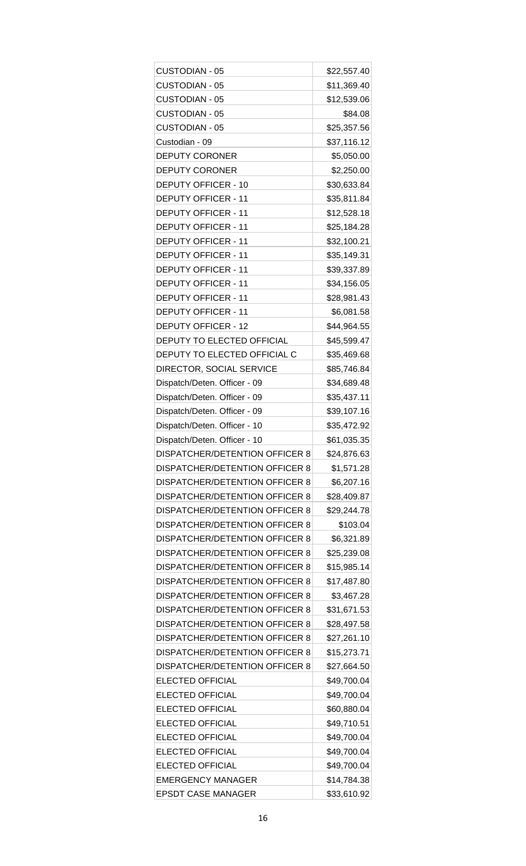| <b>CUSTODIAN - 05</b>                 | \$22,557.40 |
|---------------------------------------|-------------|
| <b>CUSTODIAN - 05</b>                 | \$11,369.40 |
| <b>CUSTODIAN - 05</b>                 | \$12,539.06 |
| <b>CUSTODIAN - 05</b>                 | \$84.08     |
| <b>CUSTODIAN - 05</b>                 | \$25,357.56 |
| Custodian - 09                        | \$37,116.12 |
| <b>DEPUTY CORONER</b>                 | \$5,050.00  |
| <b>DEPUTY CORONER</b>                 | \$2,250.00  |
| DEPUTY OFFICER - 10                   | \$30,633.84 |
| <b>DEPUTY OFFICER - 11</b>            | \$35,811.84 |
| <b>DEPUTY OFFICER - 11</b>            | \$12,528.18 |
| <b>DEPUTY OFFICER - 11</b>            | \$25,184.28 |
| <b>DEPUTY OFFICER - 11</b>            | \$32,100.21 |
| <b>DEPUTY OFFICER - 11</b>            | \$35,149.31 |
| <b>DEPUTY OFFICER - 11</b>            | \$39,337.89 |
| <b>DEPUTY OFFICER - 11</b>            | \$34,156.05 |
| <b>DEPUTY OFFICER - 11</b>            | \$28,981.43 |
| <b>DEPUTY OFFICER - 11</b>            | \$6,081.58  |
| <b>DEPUTY OFFICER - 12</b>            | \$44,964.55 |
| DEPUTY TO ELECTED OFFICIAL            | \$45,599.47 |
| DEPUTY TO ELECTED OFFICIAL C          | \$35,469.68 |
| DIRECTOR, SOCIAL SERVICE              | \$85,746.84 |
| Dispatch/Deten. Officer - 09          | \$34,689.48 |
| Dispatch/Deten. Officer - 09          | \$35,437.11 |
| Dispatch/Deten. Officer - 09          | \$39,107.16 |
| Dispatch/Deten. Officer - 10          | \$35,472.92 |
| Dispatch/Deten. Officer - 10          | \$61,035.35 |
| DISPATCHER/DETENTION OFFICER 8        | \$24,876.63 |
| <b>DISPATCHER/DETENTION OFFICER 8</b> | \$1,571.28  |
| <b>DISPATCHER/DETENTION OFFICER 8</b> | \$6,207.16  |
| <b>DISPATCHER/DETENTION OFFICER 8</b> | \$28,409.87 |
| DISPATCHER/DETENTION OFFICER 8        | \$29,244.78 |
| <b>DISPATCHER/DETENTION OFFICER 8</b> | \$103.04    |
| <b>DISPATCHER/DETENTION OFFICER 8</b> | \$6,321.89  |
| DISPATCHER/DETENTION OFFICER 8        | \$25,239.08 |
| <b>DISPATCHER/DETENTION OFFICER 8</b> | \$15,985.14 |
| <b>DISPATCHER/DETENTION OFFICER 8</b> | \$17,487.80 |
| DISPATCHER/DETENTION OFFICER 8        | \$3,467.28  |
| <b>DISPATCHER/DETENTION OFFICER 8</b> | \$31,671.53 |
| <b>DISPATCHER/DETENTION OFFICER 8</b> | \$28,497.58 |
| DISPATCHER/DETENTION OFFICER 8        | \$27,261.10 |
| <b>DISPATCHER/DETENTION OFFICER 8</b> | \$15,273.71 |
| <b>DISPATCHER/DETENTION OFFICER 8</b> | \$27,664.50 |
| <b>ELECTED OFFICIAL</b>               | \$49,700.04 |
| <b>ELECTED OFFICIAL</b>               | \$49,700.04 |
| ELECTED OFFICIAL                      | \$60,880.04 |
| <b>ELECTED OFFICIAL</b>               | \$49,710.51 |
| <b>ELECTED OFFICIAL</b>               | \$49,700.04 |
| <b>ELECTED OFFICIAL</b>               | \$49,700.04 |
| ELECTED OFFICIAL                      | \$49,700.04 |
| <b>EMERGENCY MANAGER</b>              | \$14,784.38 |
| <b>EPSDT CASE MANAGER</b>             | \$33,610.92 |
|                                       |             |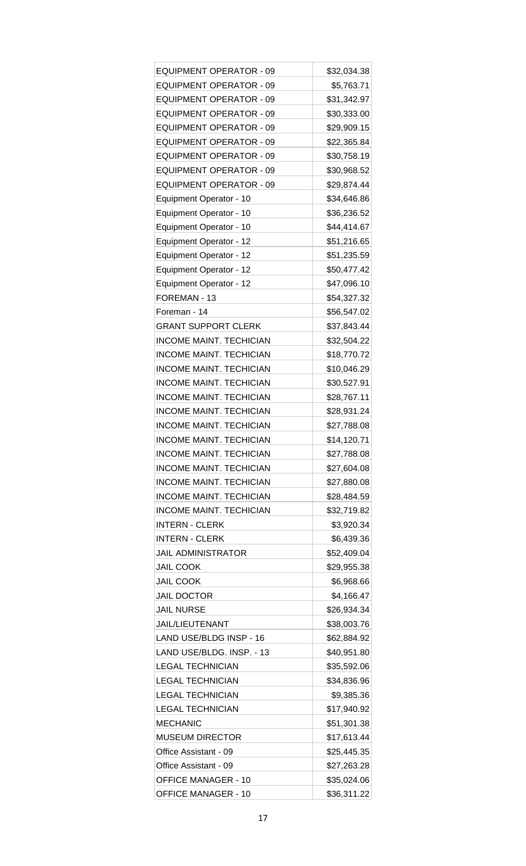| <b>EQUIPMENT OPERATOR - 09</b> | \$32,034.38                |
|--------------------------------|----------------------------|
| <b>EQUIPMENT OPERATOR - 09</b> | \$5,763.71                 |
| <b>EQUIPMENT OPERATOR - 09</b> | \$31,342.97                |
| <b>EQUIPMENT OPERATOR - 09</b> | \$30,333.00                |
| <b>EQUIPMENT OPERATOR - 09</b> | \$29,909.15                |
| <b>EQUIPMENT OPERATOR - 09</b> | \$22,365.84                |
| <b>EQUIPMENT OPERATOR - 09</b> | \$30,758.19                |
| <b>EQUIPMENT OPERATOR - 09</b> | \$30,968.52                |
| <b>EQUIPMENT OPERATOR - 09</b> | \$29,874.44                |
| Equipment Operator - 10        | \$34,646.86                |
| Equipment Operator - 10        | \$36,236.52                |
| Equipment Operator - 10        | \$44,414.67                |
| Equipment Operator - 12        | \$51,216.65                |
| Equipment Operator - 12        | \$51,235.59                |
| Equipment Operator - 12        | \$50,477.42                |
| <b>Equipment Operator - 12</b> | \$47,096.10                |
| FOREMAN - 13                   | \$54,327.32                |
| Foreman - 14                   | \$56,547.02                |
| <b>GRANT SUPPORT CLERK</b>     | \$37,843.44                |
| <b>INCOME MAINT. TECHICIAN</b> | \$32,504.22                |
| <b>INCOME MAINT. TECHICIAN</b> | \$18,770.72                |
| <b>INCOME MAINT. TECHICIAN</b> | \$10,046.29                |
| <b>INCOME MAINT. TECHICIAN</b> |                            |
| <b>INCOME MAINT. TECHICIAN</b> | \$30,527.91<br>\$28,767.11 |
|                                |                            |
| <b>INCOME MAINT. TECHICIAN</b> | \$28,931.24                |
| <b>INCOME MAINT. TECHICIAN</b> | \$27,788.08                |
| <b>INCOME MAINT. TECHICIAN</b> | \$14,120.71                |
| <b>INCOME MAINT. TECHICIAN</b> | \$27,788.08                |
| <b>INCOME MAINT. TECHICIAN</b> | \$27,604.08                |
| <b>INCOME MAINT. TECHICIAN</b> | \$27,880.08                |
| <b>INCOME MAINT. TECHICIAN</b> | \$28,484.59                |
| <b>INCOME MAINT. TECHICIAN</b> | \$32,719.82                |
| <b>INTERN - CLERK</b>          | \$3,920.34                 |
| <b>INTERN - CLERK</b>          | \$6,439.36                 |
| <b>JAIL ADMINISTRATOR</b>      | \$52,409.04                |
| <b>JAIL COOK</b>               | \$29,955.38                |
| <b>JAIL COOK</b>               | \$6,968.66                 |
| <b>JAIL DOCTOR</b>             | \$4,166.47                 |
| <b>JAIL NURSE</b>              | \$26,934.34                |
| JAIL/LIEUTENANT                | \$38,003.76                |
| LAND USE/BLDG INSP - 16        | \$62,884.92                |
| LAND USE/BLDG. INSP. - 13      | \$40,951.80                |
| <b>LEGAL TECHNICIAN</b>        | \$35,592.06                |
| <b>LEGAL TECHNICIAN</b>        | \$34,836.96                |
| <b>LEGAL TECHNICIAN</b>        | \$9,385.36                 |
| <b>LEGAL TECHNICIAN</b>        | \$17,940.92                |
| <b>MECHANIC</b>                | \$51,301.38                |
| <b>MUSEUM DIRECTOR</b>         | \$17,613.44                |
| Office Assistant - 09          | \$25,445.35                |
| Office Assistant - 09          | \$27,263.28                |
| <b>OFFICE MANAGER - 10</b>     | \$35,024.06                |
| <b>OFFICE MANAGER - 10</b>     | \$36,311.22                |